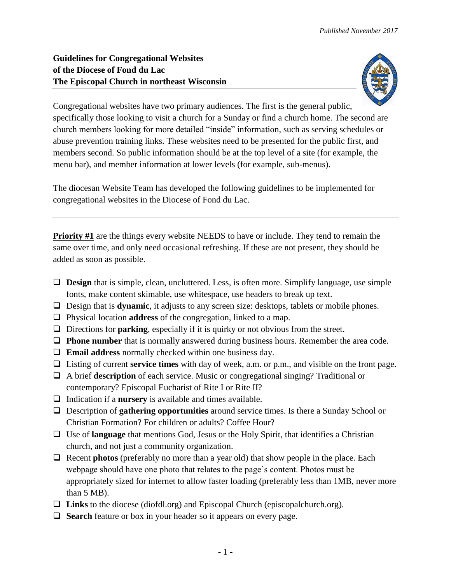## **Guidelines for Congregational Websites of the Diocese of Fond du Lac The Episcopal Church in northeast Wisconsin**



Congregational websites have two primary audiences. The first is the general public, specifically those looking to visit a church for a Sunday or find a church home. The second are church members looking for more detailed "inside" information, such as serving schedules or abuse prevention training links. These websites need to be presented for the public first, and members second. So public information should be at the top level of a site (for example, the menu bar), and member information at lower levels (for example, sub-menus).

The diocesan Website Team has developed the following guidelines to be implemented for congregational websites in the Diocese of Fond du Lac.

**Priority #1** are the things every website NEEDS to have or include. They tend to remain the same over time, and only need occasional refreshing. If these are not present, they should be added as soon as possible.

- □ **Design** that is simple, clean, uncluttered. Less, is often more. Simplify language, use simple fonts, make content skimable, use whitespace, use headers to break up text.
- Design that is **dynamic**, it adjusts to any screen size: desktops, tablets or mobile phones.
- Physical location **address** of the congregation, linked to a map.
- $\Box$  Directions for **parking**, especially if it is quirky or not obvious from the street.
- **Phone number** that is normally answered during business hours. Remember the area code.
- **Email address** normally checked within one business day.
- Listing of current **service times** with day of week, a.m. or p.m., and visible on the front page.
- A brief **description** of each service. Music or congregational singing? Traditional or contemporary? Episcopal Eucharist of Rite I or Rite II?
- $\Box$  Indication if a **nursery** is available and times available.
- Description of **gathering opportunities** around service times. Is there a Sunday School or Christian Formation? For children or adults? Coffee Hour?
- Use of **language** that mentions God, Jesus or the Holy Spirit, that identifies a Christian church, and not just a community organization.
- $\Box$  Recent **photos** (preferably no more than a year old) that show people in the place. Each webpage should have one photo that relates to the page's content. Photos must be appropriately sized for internet to allow faster loading (preferably less than 1MB, never more than 5 MB).
- **Links** to the diocese (diofdl.org) and Episcopal Church (episcopalchurch.org).
- **Search** feature or box in your header so it appears on every page.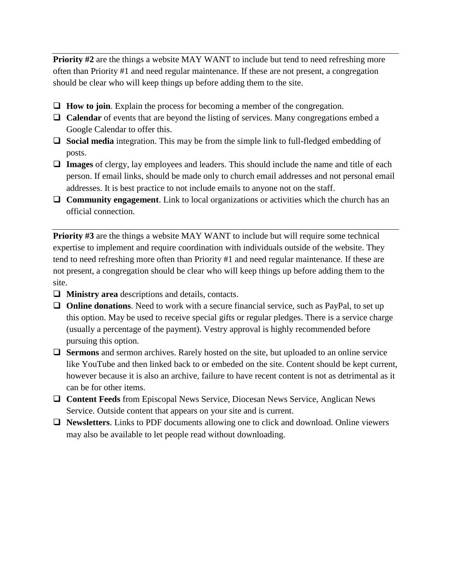**Priority #2** are the things a website MAY WANT to include but tend to need refreshing more often than Priority #1 and need regular maintenance. If these are not present, a congregation should be clear who will keep things up before adding them to the site.

- **How to join**. Explain the process for becoming a member of the congregation.
- **Calendar** of events that are beyond the listing of services. Many congregations embed a Google Calendar to offer this.
- **Social media** integration. This may be from the simple link to full-fledged embedding of posts.
- **Images** of clergy, lay employees and leaders. This should include the name and title of each person. If email links, should be made only to church email addresses and not personal email addresses. It is best practice to not include emails to anyone not on the staff.
- **Community engagement**. Link to local organizations or activities which the church has an official connection.

**Priority #3** are the things a website MAY WANT to include but will require some technical expertise to implement and require coordination with individuals outside of the website. They tend to need refreshing more often than Priority #1 and need regular maintenance. If these are not present, a congregation should be clear who will keep things up before adding them to the site.

- **Ministry area** descriptions and details, contacts.
- **Online donations**. Need to work with a secure financial service, such as PayPal, to set up this option. May be used to receive special gifts or regular pledges. There is a service charge (usually a percentage of the payment). Vestry approval is highly recommended before pursuing this option.
- **Sermons** and sermon archives. Rarely hosted on the site, but uploaded to an online service like YouTube and then linked back to or embeded on the site. Content should be kept current, however because it is also an archive, failure to have recent content is not as detrimental as it can be for other items.
- **Content Feeds** from Episcopal News Service, Diocesan News Service, Anglican News Service. Outside content that appears on your site and is current.
- **Newsletters**. Links to PDF documents allowing one to click and download. Online viewers may also be available to let people read without downloading.